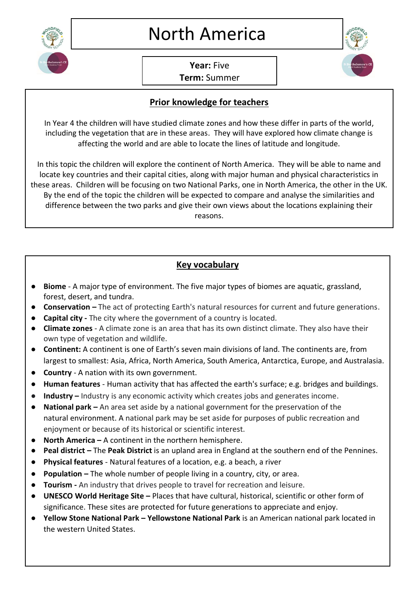

**Year:** Five

**Term:** Summer

## **Prior knowledge for teachers**

In Year 4 the children will have studied climate zones and how these differ in parts of the world, including the vegetation that are in these areas. They will have explored how climate change is affecting the world and are able to locate the lines of latitude and longitude.

In this topic the children will explore the continent of North America. They will be able to name and locate key countries and their capital cities, along with major human and physical characteristics in these areas. Children will be focusing on two National Parks, one in North America, the other in the UK. By the end of the topic the children will be expected to compare and analyse the similarities and difference between the two parks and give their own views about the locations explaining their reasons.

## **Key vocabulary**

- **Biome** A major type of environment. The five major types of biomes are aquatic, grassland, forest, desert, and tundra.
- **Conservation –** The act of protecting Earth's natural resources for current and future generations.
- **Capital city -** The city where the government of a country is located.
- **Climate zones**  A climate zone is an area that has its own distinct climate. They also have their own type of vegetation and wildlife.
- **Continent:** A continent is one of Earth's seven main divisions of land. The continents are, from largest to smallest: Asia, Africa, North America, South America, Antarctica, Europe, and Australasia.
- **Country** A nation with its own government.
- **Human features** Human activity that has affected the earth's surface; e.g. bridges and buildings.
- **Industry –** Industry is any economic activity which creates jobs and generates income.
- **National park –** An area set aside by a national government for the preservation of the natural [environment.](https://www.britannica.com/science/environment) A national park may be set aside for purposes of public recreation and enjoyment or because of its historical or scientific interest.
- **North America –** A continent in the northern hemisphere.
- **Peal district –** The **Peak District** is an upland area in England at the southern end of the Pennines.
- **Physical features** Natural features of a location, e.g. a beach, a river
- **Population –** The whole number of people living in a country, city, or area.
- **Tourism -** An industry that drives people to travel for recreation and leisure.
- **[UNESCO](https://kids.kiddle.co/UNESCO) [World Heritage Site](https://kids.kiddle.co/World_Heritage_Site) -** Places that have cultural, historical, scientific or other form of significance. These sites are protected for future generations to appreciate and enjoy.
- **Yellow Stone National Park – Yellowstone National Park** is an American national park located in the western United States.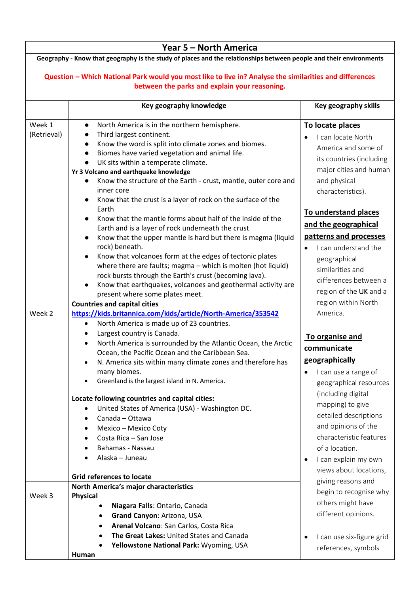|                                                                                                                                                          | Year 5 - North America                                                                                                  |                                        |  |  |
|----------------------------------------------------------------------------------------------------------------------------------------------------------|-------------------------------------------------------------------------------------------------------------------------|----------------------------------------|--|--|
| Geography - Know that geography is the study of places and the relationships between people and their environments                                       |                                                                                                                         |                                        |  |  |
|                                                                                                                                                          |                                                                                                                         |                                        |  |  |
| Question - Which National Park would you most like to live in? Analyse the similarities and differences<br>between the parks and explain your reasoning. |                                                                                                                         |                                        |  |  |
|                                                                                                                                                          |                                                                                                                         |                                        |  |  |
|                                                                                                                                                          | Key geography knowledge                                                                                                 | Key geography skills                   |  |  |
| Week 1                                                                                                                                                   | North America is in the northern hemisphere.<br>$\bullet$                                                               |                                        |  |  |
| (Retrieval)                                                                                                                                              | Third largest continent.                                                                                                | To locate places                       |  |  |
|                                                                                                                                                          | Know the word is split into climate zones and biomes.<br>$\bullet$                                                      | I can locate North                     |  |  |
|                                                                                                                                                          | Biomes have varied vegetation and animal life.<br>$\bullet$                                                             | America and some of                    |  |  |
|                                                                                                                                                          | UK sits within a temperate climate.                                                                                     | its countries (including               |  |  |
|                                                                                                                                                          | Yr 3 Volcano and earthquake knowledge                                                                                   | major cities and human                 |  |  |
|                                                                                                                                                          | Know the structure of the Earth - crust, mantle, outer core and                                                         | and physical                           |  |  |
|                                                                                                                                                          | inner core                                                                                                              | characteristics).                      |  |  |
|                                                                                                                                                          | Know that the crust is a layer of rock on the surface of the                                                            |                                        |  |  |
|                                                                                                                                                          | Earth                                                                                                                   | To understand places                   |  |  |
|                                                                                                                                                          | Know that the mantle forms about half of the inside of the                                                              |                                        |  |  |
|                                                                                                                                                          | Earth and is a layer of rock underneath the crust                                                                       | and the geographical                   |  |  |
|                                                                                                                                                          | Know that the upper mantle is hard but there is magma (liquid<br>$\bullet$                                              | patterns and processes                 |  |  |
|                                                                                                                                                          | rock) beneath.                                                                                                          | I can understand the                   |  |  |
|                                                                                                                                                          | Know that volcanoes form at the edges of tectonic plates<br>$\bullet$                                                   | geographical                           |  |  |
|                                                                                                                                                          | where there are faults; magma - which is molten (hot liquid)                                                            | similarities and                       |  |  |
|                                                                                                                                                          | rock bursts through the Earth's crust (becoming lava).                                                                  | differences between a                  |  |  |
|                                                                                                                                                          | Know that earthquakes, volcanoes and geothermal activity are                                                            | region of the UK and a                 |  |  |
|                                                                                                                                                          | present where some plates meet.                                                                                         | region within North                    |  |  |
| Week 2                                                                                                                                                   | <b>Countries and capital cities</b>                                                                                     | America.                               |  |  |
|                                                                                                                                                          | https://kids.britannica.com/kids/article/North-America/353542<br>North America is made up of 23 countries.<br>$\bullet$ |                                        |  |  |
|                                                                                                                                                          | Largest country is Canada.<br>٠                                                                                         |                                        |  |  |
|                                                                                                                                                          | North America is surrounded by the Atlantic Ocean, the Arctic<br>$\bullet$                                              | To organise and                        |  |  |
|                                                                                                                                                          | Ocean, the Pacific Ocean and the Caribbean Sea.                                                                         | communicate                            |  |  |
|                                                                                                                                                          | N. America sits within many climate zones and therefore has                                                             | geographically                         |  |  |
|                                                                                                                                                          | many biomes.                                                                                                            | I can use a range of<br>$\bullet$      |  |  |
|                                                                                                                                                          | Greenland is the largest island in N. America.                                                                          | geographical resources                 |  |  |
|                                                                                                                                                          |                                                                                                                         | (including digital                     |  |  |
|                                                                                                                                                          | Locate following countries and capital cities:                                                                          |                                        |  |  |
|                                                                                                                                                          | United States of America (USA) - Washington DC.                                                                         | mapping) to give                       |  |  |
|                                                                                                                                                          | Canada - Ottawa<br>$\bullet$                                                                                            | detailed descriptions                  |  |  |
|                                                                                                                                                          | Mexico - Mexico Coty                                                                                                    | and opinions of the                    |  |  |
|                                                                                                                                                          | Costa Rica - San Jose                                                                                                   | characteristic features                |  |  |
|                                                                                                                                                          | Bahamas - Nassau                                                                                                        | of a location.                         |  |  |
|                                                                                                                                                          | Alaska - Juneau                                                                                                         | I can explain my own<br>$\bullet$      |  |  |
|                                                                                                                                                          |                                                                                                                         | views about locations,                 |  |  |
|                                                                                                                                                          | <b>Grid references to locate</b>                                                                                        | giving reasons and                     |  |  |
|                                                                                                                                                          | North America's major characteristics                                                                                   | begin to recognise why                 |  |  |
| Week 3                                                                                                                                                   | <b>Physical</b>                                                                                                         | others might have                      |  |  |
|                                                                                                                                                          | Niagara Falls: Ontario, Canada                                                                                          | different opinions.                    |  |  |
|                                                                                                                                                          | Grand Canyon: Arizona, USA                                                                                              |                                        |  |  |
|                                                                                                                                                          | Arenal Volcano: San Carlos, Costa Rica<br>٠                                                                             |                                        |  |  |
|                                                                                                                                                          | The Great Lakes: United States and Canada                                                                               | I can use six-figure grid<br>$\bullet$ |  |  |
|                                                                                                                                                          | Yellowstone National Park: Wyoming, USA                                                                                 | references, symbols                    |  |  |
|                                                                                                                                                          | Human                                                                                                                   |                                        |  |  |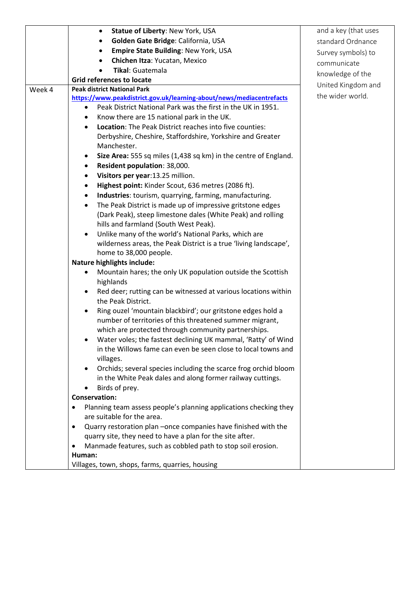|        | Statue of Liberty: New York, USA<br>$\bullet$                                | and a key (that uses |
|--------|------------------------------------------------------------------------------|----------------------|
|        | Golden Gate Bridge: California, USA<br>٠                                     | standard Ordnance    |
|        | Empire State Building: New York, USA<br>٠                                    | Survey symbols) to   |
|        | Chichen Itza: Yucatan, Mexico                                                | communicate          |
|        | Tikal: Guatemala                                                             |                      |
|        | <b>Grid references to locate</b>                                             | knowledge of the     |
| Week 4 | <b>Peak district National Park</b>                                           | United Kingdom and   |
|        | https://www.peakdistrict.gov.uk/learning-about/news/mediacentrefacts         | the wider world.     |
|        | Peak District National Park was the first in the UK in 1951.<br>$\bullet$    |                      |
|        | Know there are 15 national park in the UK.                                   |                      |
|        | Location: The Peak District reaches into five counties:<br>٠                 |                      |
|        | Derbyshire, Cheshire, Staffordshire, Yorkshire and Greater                   |                      |
|        | Manchester.                                                                  |                      |
|        | Size Area: 555 sq miles (1,438 sq km) in the centre of England.<br>$\bullet$ |                      |
|        | Resident population: 38,000.<br>$\bullet$                                    |                      |
|        | Visitors per year:13.25 million.<br>$\bullet$                                |                      |
|        | Highest point: Kinder Scout, 636 metres (2086 ft).<br>$\bullet$              |                      |
|        | Industries: tourism, quarrying, farming, manufacturing.<br>$\bullet$         |                      |
|        | The Peak District is made up of impressive gritstone edges                   |                      |
|        | (Dark Peak), steep limestone dales (White Peak) and rolling                  |                      |
|        | hills and farmland (South West Peak).                                        |                      |
|        | Unlike many of the world's National Parks, which are                         |                      |
|        | wilderness areas, the Peak District is a true 'living landscape',            |                      |
|        | home to 38,000 people.                                                       |                      |
|        | <b>Nature highlights include:</b>                                            |                      |
|        | Mountain hares; the only UK population outside the Scottish                  |                      |
|        | highlands                                                                    |                      |
|        | Red deer; rutting can be witnessed at various locations within               |                      |
|        | the Peak District.                                                           |                      |
|        | Ring ouzel 'mountain blackbird'; our gritstone edges hold a<br>٠             |                      |
|        | number of territories of this threatened summer migrant,                     |                      |
|        | which are protected through community partnerships.                          |                      |
|        | Water voles; the fastest declining UK mammal, 'Ratty' of Wind                |                      |
|        | in the Willows fame can even be seen close to local towns and                |                      |
|        | villages.                                                                    |                      |
|        | Orchids; several species including the scarce frog orchid bloom              |                      |
|        | in the White Peak dales and along former railway cuttings.                   |                      |
|        | Birds of prey.                                                               |                      |
|        | <b>Conservation:</b>                                                         |                      |
|        | Planning team assess people's planning applications checking they            |                      |
|        | are suitable for the area.                                                   |                      |
|        | Quarry restoration plan -once companies have finished with the<br>$\bullet$  |                      |
|        | quarry site, they need to have a plan for the site after.                    |                      |
|        | Manmade features, such as cobbled path to stop soil erosion.                 |                      |
|        | Human:                                                                       |                      |
|        | Villages, town, shops, farms, quarries, housing                              |                      |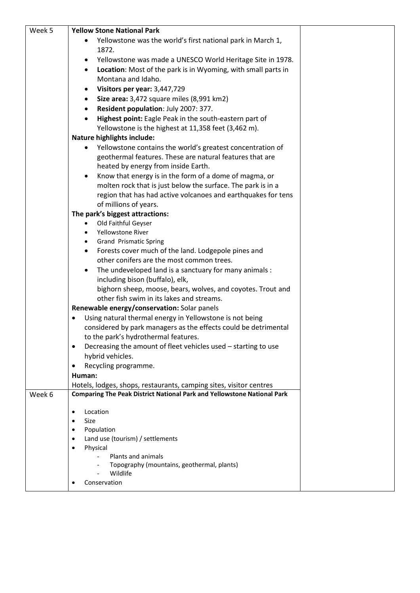| Week 5 | <b>Yellow Stone National Park</b>                                              |  |
|--------|--------------------------------------------------------------------------------|--|
|        | Yellowstone was the world's first national park in March 1,                    |  |
|        | 1872.                                                                          |  |
|        | Yellowstone was made a UNESCO World Heritage Site in 1978.                     |  |
|        | Location: Most of the park is in Wyoming, with small parts in<br>٠             |  |
|        | Montana and Idaho.                                                             |  |
|        | Visitors per year: 3,447,729                                                   |  |
|        | Size area: 3,472 square miles (8,991 km2)<br>$\bullet$                         |  |
|        | Resident population: July 2007: 377.<br>$\bullet$                              |  |
|        | Highest point: Eagle Peak in the south-eastern part of                         |  |
|        | Yellowstone is the highest at 11,358 feet (3,462 m).                           |  |
|        | <b>Nature highlights include:</b>                                              |  |
|        | Yellowstone contains the world's greatest concentration of                     |  |
|        | geothermal features. These are natural features that are                       |  |
|        | heated by energy from inside Earth.                                            |  |
|        | Know that energy is in the form of a dome of magma, or<br>$\bullet$            |  |
|        | molten rock that is just below the surface. The park is in a                   |  |
|        | region that has had active volcanoes and earthquakes for tens                  |  |
|        | of millions of years.                                                          |  |
|        | The park's biggest attractions:                                                |  |
|        | Old Faithful Geyser                                                            |  |
|        | Yellowstone River<br><b>Grand Prismatic Spring</b>                             |  |
|        | Forests cover much of the land. Lodgepole pines and                            |  |
|        | other conifers are the most common trees.                                      |  |
|        | The undeveloped land is a sanctuary for many animals :<br>$\bullet$            |  |
|        | including bison (buffalo), elk,                                                |  |
|        | bighorn sheep, moose, bears, wolves, and coyotes. Trout and                    |  |
|        | other fish swim in its lakes and streams.                                      |  |
|        | Renewable energy/conservation: Solar panels                                    |  |
|        | Using natural thermal energy in Yellowstone is not being<br>٠                  |  |
|        | considered by park managers as the effects could be detrimental                |  |
|        | to the park's hydrothermal features.                                           |  |
|        | Decreasing the amount of fleet vehicles used - starting to use                 |  |
|        | hybrid vehicles.                                                               |  |
|        | Recycling programme.<br>$\bullet$                                              |  |
|        | Human:                                                                         |  |
|        | Hotels, lodges, shops, restaurants, camping sites, visitor centres             |  |
| Week 6 | <b>Comparing The Peak District National Park and Yellowstone National Park</b> |  |
|        |                                                                                |  |
|        | Location<br>$\bullet$                                                          |  |
|        | Size<br>$\bullet$<br>Population<br>$\bullet$                                   |  |
|        | Land use (tourism) / settlements                                               |  |
|        | Physical<br>$\bullet$                                                          |  |
|        | Plants and animals                                                             |  |
|        | Topography (mountains, geothermal, plants)                                     |  |
|        | Wildlife                                                                       |  |
|        | Conservation                                                                   |  |